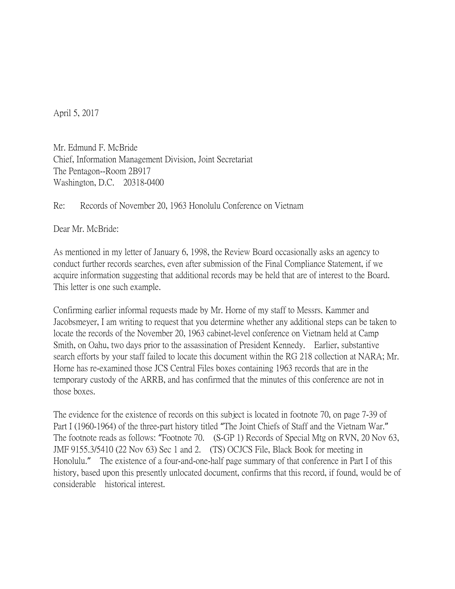April 5, 2017

Mr. Edmund F. McBride Chief, Information Management Division, Joint Secretariat The Pentagon--Room 2B917 Washington, D.C. 20318-0400

Re: Records of November 20, 1963 Honolulu Conference on Vietnam

Dear Mr. McBride:

As mentioned in my letter of January 6, 1998, the Review Board occasionally asks an agency to conduct further records searches, even after submission of the Final Compliance Statement, if we acquire information suggesting that additional records may be held that are of interest to the Board. This letter is one such example.

Confirming earlier informal requests made by Mr. Horne of my staff to Messrs. Kammer and Jacobsmeyer, I am writing to request that you determine whether any additional steps can be taken to locate the records of the November 20, 1963 cabinet-level conference on Vietnam held at Camp Smith, on Oahu, two days prior to the assassination of President Kennedy. Earlier, substantive search efforts by your staff failed to locate this document within the RG 218 collection at NARA; Mr. Horne has re-examined those JCS Central Files boxes containing 1963 records that are in the temporary custody of the ARRB, and has confirmed that the minutes of this conference are not in those boxes.

The evidence for the existence of records on this subject is located in footnote 70, on page 7-39 of Part I (1960-1964) of the three-part history titled "The Joint Chiefs of Staff and the Vietnam War." The footnote reads as follows: "Footnote 70. (S-GP 1) Records of Special Mtg on RVN, 20 Nov 63, JMF 9155.3/5410 (22 Nov 63) Sec 1 and 2. (TS) OCJCS File, Black Book for meeting in Honolulu." The existence of a four-and-one-half page summary of that conference in Part I of this history, based upon this presently unlocated document, confirms that this record, if found, would be of considerable historical interest.